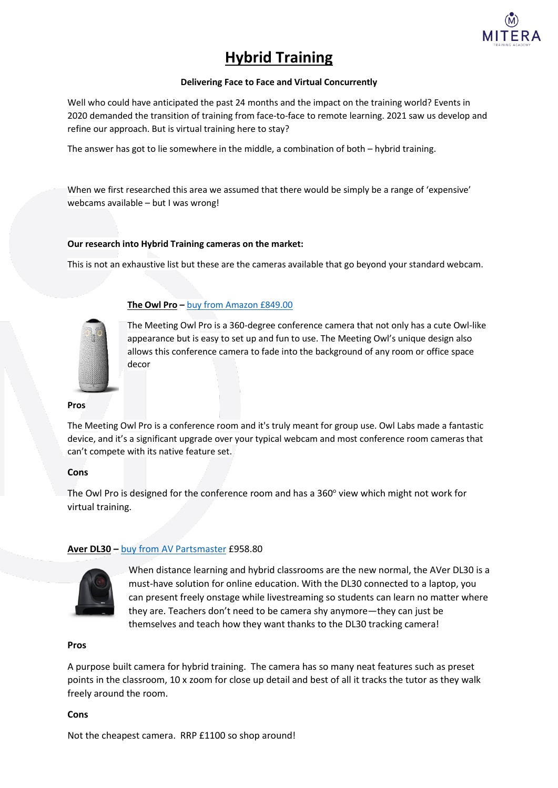

# **Hybrid Training**

#### **Delivering Face to Face and Virtual Concurrently**

Well who could have anticipated the past 24 months and the impact on the training world? Events in 2020 demanded the transition of training from face-to-face to remote learning. 2021 saw us develop and refine our approach. But is virtual training here to stay?

The answer has got to lie somewhere in the middle, a combination of both – hybrid training.

When we first researched this area we assumed that there would be simply be a range of 'expensive' webcams available – but I was wrong!

### **Our research into Hybrid Training cameras on the market:**

This is not an exhaustive list but these are the cameras available that go beyond your standard webcam.



# **The Owl Pro –** buy from [Amazon £849.00](https://www.amazon.co.uk/Meeting-Owl-Pro-Conference-Microphone/dp/B089MH2WQ2/ref=sr_1_1?crid=61JRWZWWPICY&keywords=the+owl+pro&qid=1644934553&sprefix=the+owl+pro%2Caps%2C379&sr=8-1)

The Meeting Owl Pro is a 360-degree conference camera that not only has a cute Owl-like appearance but is easy to set up and fun to use. The Meeting Owl's unique design also allows this conference camera to fade into the background of any room or office space decor

#### **Pros**

The Meeting Owl Pro is a conference room and it's truly meant for group use. Owl Labs made a fantastic device, and it's a significant upgrade over your typical webcam and most conference room cameras that can't compete with its native feature set.

#### **Cons**

The Owl Pro is designed for the conference room and has a 360° view which might not work for virtual training.

# **Aver DL30 –** buy from [AV Partsmaster](https://www.avpartsmaster.co.uk/avermedia-aver-dl30-auto-tracking-camera-p173651/s173626?utm_source=TAG&utm_medium=affiliate&utm_campaign=%7BTAG.AID%7D&tagrid=%7BTAG.RID%7D&gclid=Cj0KCQiAu62QBhC7ARIsALXijXRecS17QtevotFxtRmiWmH4nlVpbhAN1epg4rVXM97jpFpWiapLpeUaAhq3EALw_wcB) £958.80



When distance learning and hybrid classrooms are the new normal, the AVer DL30 is a must-have solution for online education. With the DL30 connected to a laptop, you can present freely onstage while livestreaming so students can learn no matter where they are. Teachers don't need to be camera shy anymore—they can just be themselves and teach how they want thanks to the DL30 tracking camera!

#### **Pros**

A purpose built camera for hybrid training. The camera has so many neat features such as preset points in the classroom, 10 x zoom for close up detail and best of all it tracks the tutor as they walk freely around the room.

#### **Cons**

Not the cheapest camera. RRP £1100 so shop around!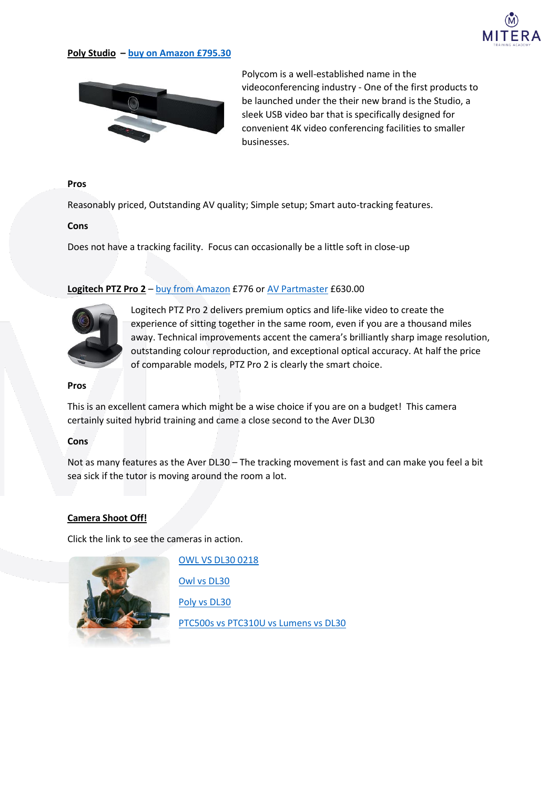

#### **Poly Studio – [buy on Amazon £795.30](https://www.amazon.co.uk/POLYCOM-STUDIO-AUDIO-VIDEO-USB/dp/B07QHZRJ5N)**



Polycom is a well-established name in the videoconferencing industry - One of the first products to be launched under the their new brand is the Studio, a sleek USB video bar that is specifically designed for convenient 4K video conferencing facilities to smaller businesses.

#### **Pros**

Reasonably priced, Outstanding AV quality; Simple setup; Smart auto-tracking features.

#### **Cons**

Does not have a tracking facility. Focus can occasionally be a little soft in close-up

#### Logitech PTZ Pro 2 – buy [from Amazon](https://www.amazon.co.uk/Logitech-PTZ-Video-Conference-System/dp/B06Y472LYT/ref=asc_df_B06Y472LYT/?tag=googshopuk-21&linkCode=df0&hvadid=344270444557&hvpos=&hvnetw=g&hvrand=5925970175942154794&hvpone=&hvptwo=&hvqmt=&hvdev=c&hvdvcmdl=&hvlocint=&hvlocphy=9073557&hvtargid=pla-523189579370&psc=1) £776 or [AV Partmaster](https://www.avpartsmaster.co.uk/logitech-ptz-pro-2-p161850/s161816?gclid=Cj0KCQiAu62QBhC7ARIsALXijXSdxThiw5tovFi9d5TAlHv18jkUDyAMvnYXzQ9mQW7f8-HmtMyUmsYaAh6EEALw_wcB) £630.00



Logitech PTZ Pro 2 delivers premium optics and life-like video to create the experience of sitting together in the same room, even if you are a thousand miles away. Technical improvements accent the camera's brilliantly sharp image resolution, outstanding colour reproduction, and exceptional optical accuracy. At half the price of comparable models, PTZ Pro 2 is clearly the smart choice.

#### **Pros**

This is an excellent camera which might be a wise choice if you are on a budget! This camera certainly suited hybrid training and came a close second to the Aver DL30

#### **Cons**

Not as many features as the Aver DL30 – The tracking movement is fast and can make you feel a bit sea sick if the tutor is moving around the room a lot.

#### **Camera Shoot Off!**

Click the link to see the cameras in action.



[OWL VS DL30 0218](https://rr2---sn-aigl6ney.c.drive.google.com/videoplayback?expire=1644949442&ei=grcLYuH3B7W00_wPv_OzoAs&ip=82.69.225.14&cp=QVRJVkpfWFRSQ1hPOlUtdDlQNlpJajVXSW9tXy1MS0tRZ1lGeDFhOE9NUGdfYUkteWdKSlNMcmc&id=ca0aab0b6950c733&itag=18&source=webdrive&requiressl=yes&mh=m6&mm=32&mn=sn-aigl6ney&ms=su&mv=u&mvi=2&pl=19&ttl=transient&susc=dr&driveid=1zOa_qT6g8M9rk1hG2x40dAuzXyo2N-9r&app=explorer&mime=video/mp4&vprv=1&prv=1&dur=86.633&lmt=1613731757733579&mt=1644934728&sparams=expire,ei,ip,cp,id,itag,source,requiressl,ttl,susc,driveid,app,mime,vprv,prv,dur,lmt&sig=AOq0QJ8wRAIgOA1dzpDbR3zOFt38zOCmTZE_KteiovFBIynakfLDdIsCIFvZFlIDWTO6P8-SHZGxaw6_NW8aAmRSXDVdoVfZB-dS&lsparams=mh,mm,mn,ms,mv,mvi,pl&lsig=AG3C_xAwRQIhALT-iRwrXqNdqKkoU1aNKCurNXDJjUtZFaMrblUAfohCAiApwLhWyK0jrndgHHaSfiMepatCL8UiZlaVfUWwqvE21w==&cpn=Gz5rJnRoSzsqDZvy&c=WEB_EMBEDDED_PLAYER&cver=1.20220213.00.00) [Owl vs DL30](https://drive.google.com/file/d/173Qtu_YhKm9Wfar9KcoCxmQ5iG9c2yzn/view?usp=sharing) [Poly vs DL30](https://drive.google.com/file/d/1N66qr8rfZJHK5bbeZZM0Pxiy2zZwvNi8/view?usp=sharing) [PTC500s vs PTC310U vs Lumens vs DL30](https://drive.google.com/file/d/1STpurcNLWzv4Pq1qTAGkw4Phr0Rgxe9T/view?usp=sharing)